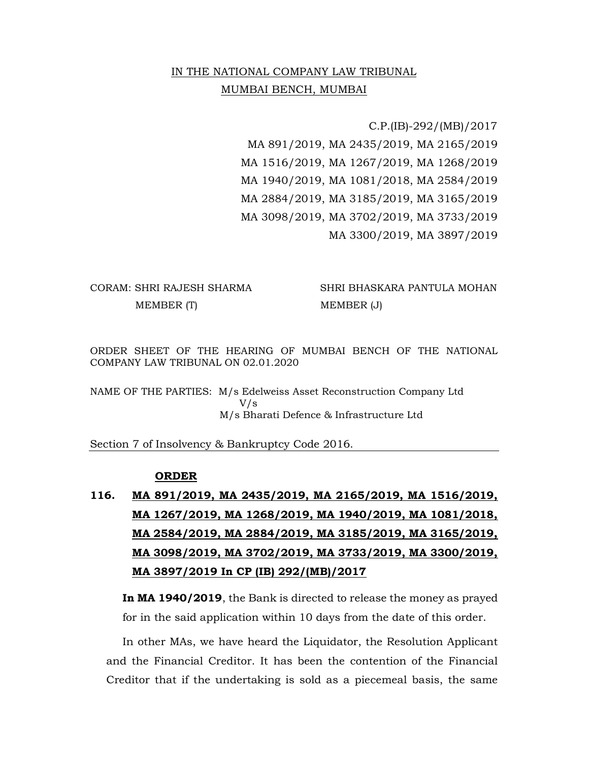## IN THE NATIONAL COMPANY LAW TRIBUNAL MUMBAI BENCH, MUMBAI

 C.P.(IB)-292/(MB)/2017 MA 891/2019, MA 2435/2019, MA 2165/2019 MA 1516/2019, MA 1267/2019, MA 1268/2019 MA 1940/2019, MA 1081/2018, MA 2584/2019 MA 2884/2019, MA 3185/2019, MA 3165/2019 MA 3098/2019, MA 3702/2019, MA 3733/2019 MA 3300/2019, MA 3897/2019

## MEMBER (T) MEMBER (J)

CORAM: SHRI RAJESH SHARMA SHRI BHASKARA PANTULA MOHAN

ORDER SHEET OF THE HEARING OF MUMBAI BENCH OF THE NATIONAL COMPANY LAW TRIBUNAL ON 02.01.2020

NAME OF THE PARTIES: M/s Edelweiss Asset Reconstruction Company Ltd V/s M/s Bharati Defence & Infrastructure Ltd

Section 7 of Insolvency & Bankruptcy Code 2016.

## ORDER

116. MA 891/2019, MA 2435/2019, MA 2165/2019, MA 1516/2019, MA 1267/2019, MA 1268/2019, MA 1940/2019, MA 1081/2018, MA 2584/2019, MA 2884/2019, MA 3185/2019, MA 3165/2019, MA 3098/2019, MA 3702/2019, MA 3733/2019, MA 3300/2019, MA 3897/2019 In CP (IB) 292/(MB)/2017

In MA 1940/2019, the Bank is directed to release the money as prayed for in the said application within 10 days from the date of this order.

In other MAs, we have heard the Liquidator, the Resolution Applicant and the Financial Creditor. It has been the contention of the Financial Creditor that if the undertaking is sold as a piecemeal basis, the same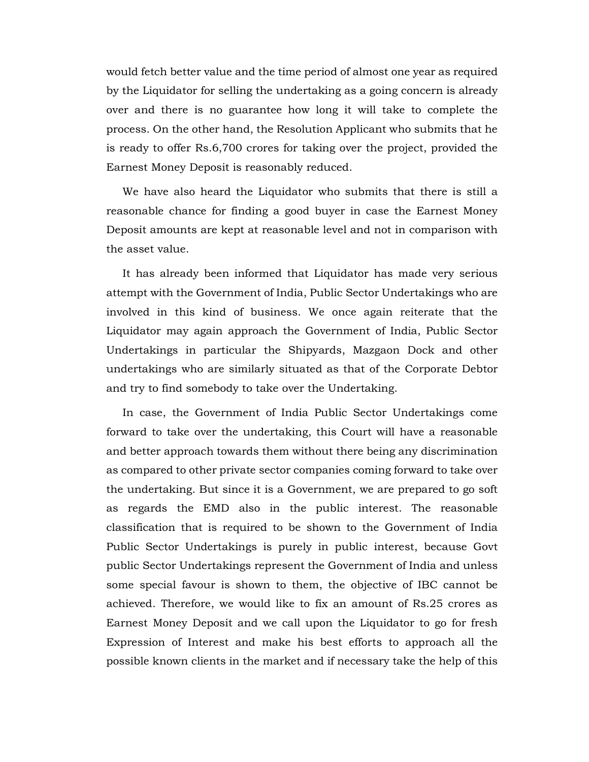would fetch better value and the time period of almost one year as required by the Liquidator for selling the undertaking as a going concern is already over and there is no guarantee how long it will take to complete the process. On the other hand, the Resolution Applicant who submits that he is ready to offer Rs.6,700 crores for taking over the project, provided the Earnest Money Deposit is reasonably reduced.

 We have also heard the Liquidator who submits that there is still a reasonable chance for finding a good buyer in case the Earnest Money Deposit amounts are kept at reasonable level and not in comparison with the asset value.

It has already been informed that Liquidator has made very serious attempt with the Government of India, Public Sector Undertakings who are involved in this kind of business. We once again reiterate that the Liquidator may again approach the Government of India, Public Sector Undertakings in particular the Shipyards, Mazgaon Dock and other undertakings who are similarly situated as that of the Corporate Debtor and try to find somebody to take over the Undertaking.

In case, the Government of India Public Sector Undertakings come forward to take over the undertaking, this Court will have a reasonable and better approach towards them without there being any discrimination as compared to other private sector companies coming forward to take over the undertaking. But since it is a Government, we are prepared to go soft as regards the EMD also in the public interest. The reasonable classification that is required to be shown to the Government of India Public Sector Undertakings is purely in public interest, because Govt public Sector Undertakings represent the Government of India and unless some special favour is shown to them, the objective of IBC cannot be achieved. Therefore, we would like to fix an amount of Rs.25 crores as Earnest Money Deposit and we call upon the Liquidator to go for fresh Expression of Interest and make his best efforts to approach all the possible known clients in the market and if necessary take the help of this